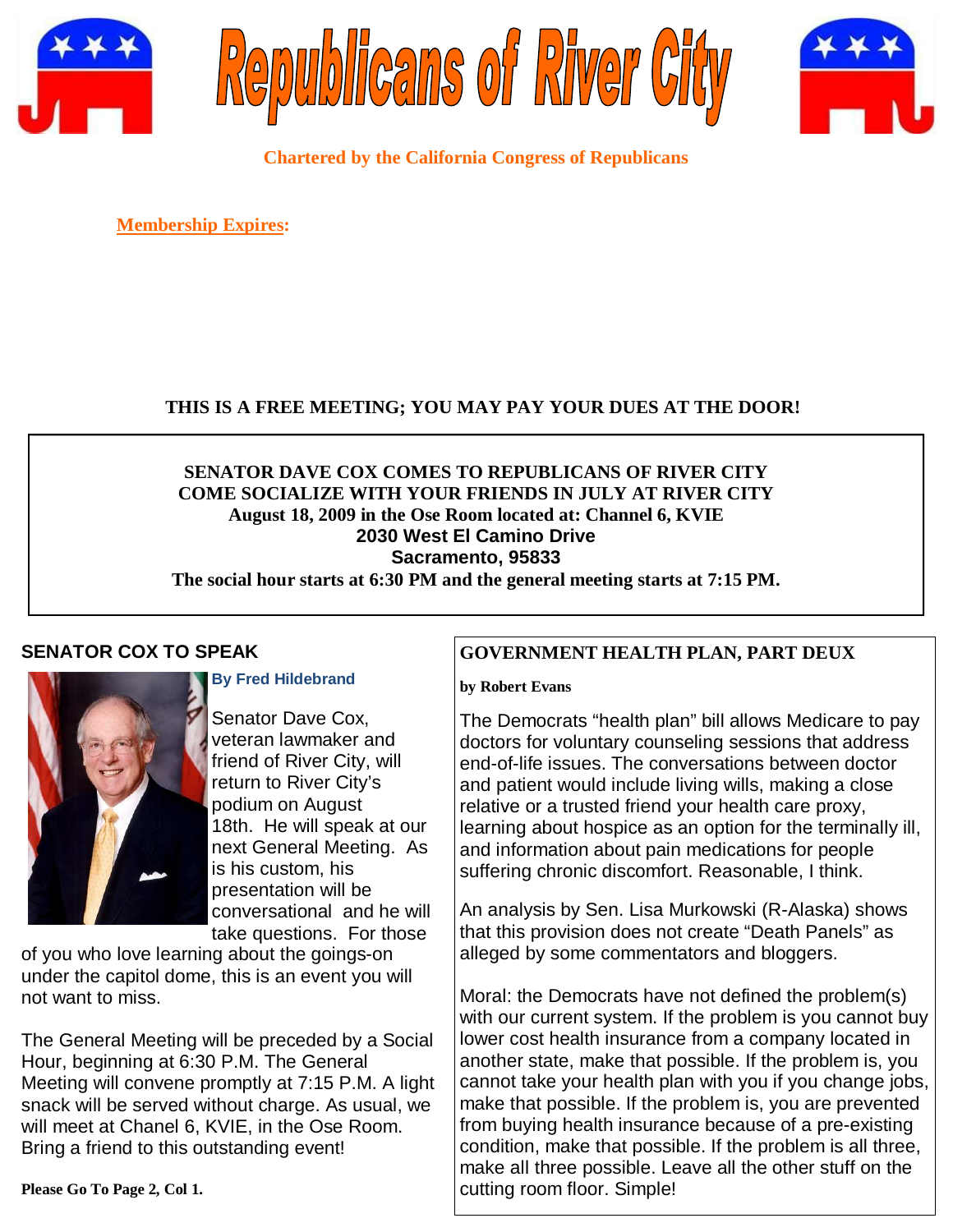





**Chartered by the California Congress of Republicans** 

**Membership Expires:** 

# **THIS IS A FREE MEETING; YOU MAY PAY YOUR DUES AT THE DOOR!**

**SENATOR DAVE COX COMES TO REPUBLICANS OF RIVER CITY COME SOCIALIZE WITH YOUR FRIENDS IN JULY AT RIVER CITY August 18, 2009 in the Ose Room located at: Channel 6, KVIE 2030 West El Camino Drive Sacramento, 95833** 

**The social hour starts at 6:30 PM and the general meeting starts at 7:15 PM.** 

# **SENATOR COX TO SPEAK**



**By Fred Hildebrand** 

Senator Dave Cox, veteran lawmaker and friend of River City, will return to River City's podium on August 18th. He will speak at our next General Meeting. As is his custom, his presentation will be conversational and he will take questions. For those

of you who love learning about the goings-on under the capitol dome, this is an event you will not want to miss.

The General Meeting will be preceded by a Social Hour, beginning at 6:30 P.M. The General Meeting will convene promptly at 7:15 P.M. A light snack will be served without charge. As usual, we will meet at Chanel 6, KVIE, in the Ose Room. Bring a friend to this outstanding event!

### **GOVERNMENT HEALTH PLAN, PART DEUX**

**by Robert Evans** 

The Democrats "health plan" bill allows Medicare to pay doctors for voluntary counseling sessions that address end-of-life issues. The conversations between doctor and patient would include living wills, making a close relative or a trusted friend your health care proxy, learning about hospice as an option for the terminally ill, and information about pain medications for people suffering chronic discomfort. Reasonable, I think.

An analysis by Sen. Lisa Murkowski (R-Alaska) shows that this provision does not create "Death Panels" as alleged by some commentators and bloggers.

Moral: the Democrats have not defined the problem(s) with our current system. If the problem is you cannot buy lower cost health insurance from a company located in another state, make that possible. If the problem is, you cannot take your health plan with you if you change jobs, make that possible. If the problem is, you are prevented from buying health insurance because of a pre-existing condition, make that possible. If the problem is all three, make all three possible. Leave all the other stuff on the cutting room floor. Simple!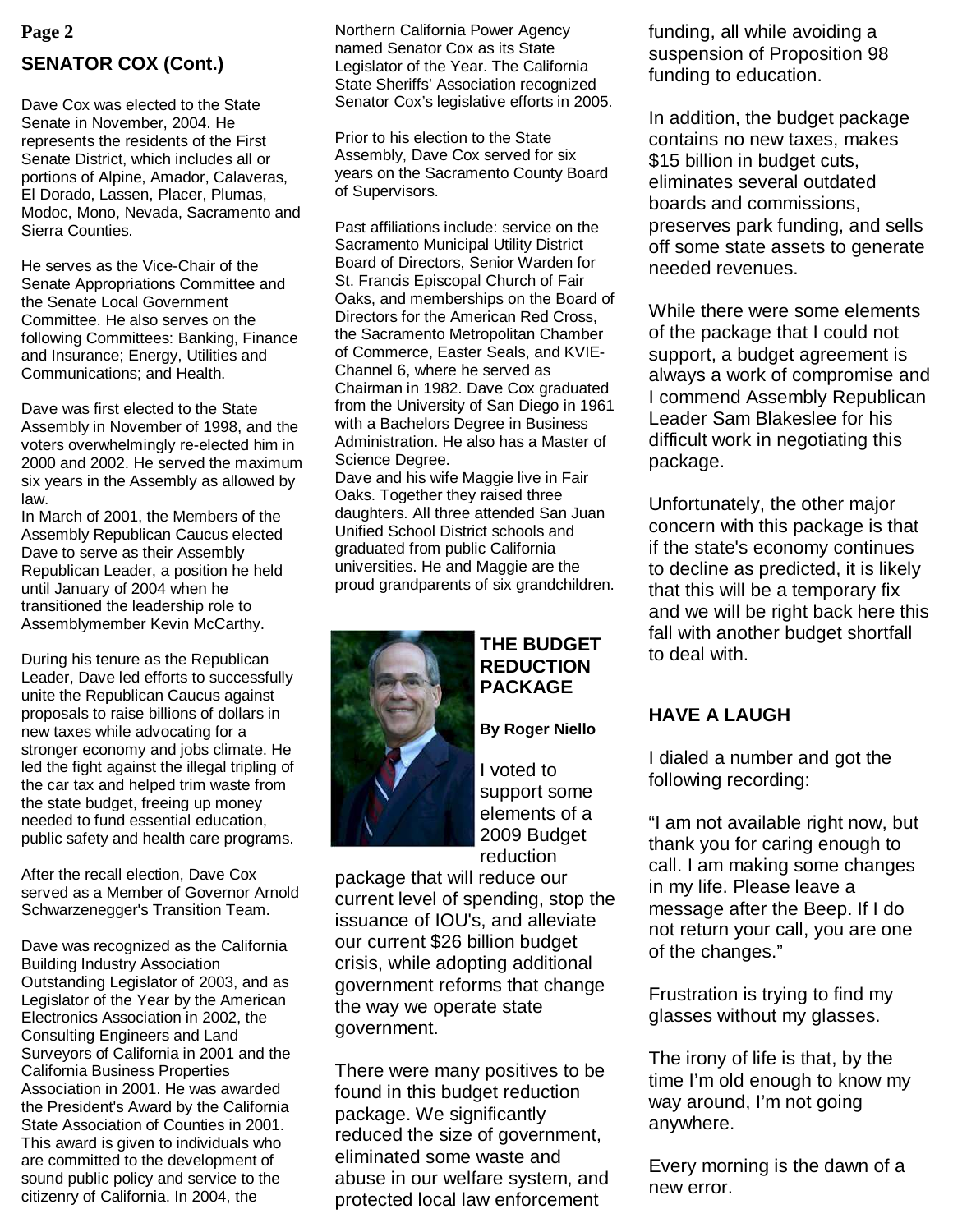# **SENATOR COX (Cont.)**

Dave Cox was elected to the State Senate in November, 2004. He represents the residents of the First Senate District, which includes all or portions of Alpine, Amador, Calaveras, El Dorado, Lassen, Placer, Plumas, Modoc, Mono, Nevada, Sacramento and Sierra Counties.

He serves as the Vice-Chair of the Senate Appropriations Committee and the Senate Local Government Committee. He also serves on the following Committees: Banking, Finance and Insurance; Energy, Utilities and Communications; and Health.

Dave was first elected to the State Assembly in November of 1998, and the voters overwhelmingly re-elected him in 2000 and 2002. He served the maximum six years in the Assembly as allowed by law.

In March of 2001, the Members of the Assembly Republican Caucus elected Dave to serve as their Assembly Republican Leader, a position he held until January of 2004 when he transitioned the leadership role to Assemblymember Kevin McCarthy.

During his tenure as the Republican Leader, Dave led efforts to successfully unite the Republican Caucus against proposals to raise billions of dollars in new taxes while advocating for a stronger economy and jobs climate. He led the fight against the illegal tripling of the car tax and helped trim waste from the state budget, freeing up money needed to fund essential education, public safety and health care programs.

After the recall election, Dave Cox served as a Member of Governor Arnold Schwarzenegger's Transition Team.

Dave was recognized as the California Building Industry Association Outstanding Legislator of 2003, and as Legislator of the Year by the American Electronics Association in 2002, the Consulting Engineers and Land Surveyors of California in 2001 and the California Business Properties Association in 2001. He was awarded the President's Award by the California State Association of Counties in 2001. This award is given to individuals who are committed to the development of sound public policy and service to the citizenry of California. In 2004, the

**Page 2 decision 1 h EXEC is a functional Morthern California Power Agency <b>funding, all while avoiding a** Northern California Power Agency named Senator Cox as its State Legislator of the Year. The California State Sheriffs' Association recognized Senator Cox's legislative efforts in 2005.

> Prior to his election to the State Assembly, Dave Cox served for six years on the Sacramento County Board of Supervisors.

Past affiliations include: service on the Sacramento Municipal Utility District Board of Directors, Senior Warden for St. Francis Episcopal Church of Fair Oaks, and memberships on the Board of Directors for the American Red Cross, the Sacramento Metropolitan Chamber of Commerce, Easter Seals, and KVIE-Channel 6, where he served as Chairman in 1982. Dave Cox graduated from the University of San Diego in 1961 with a Bachelors Degree in Business Administration. He also has a Master of Science Degree.

Dave and his wife Maggie live in Fair Oaks. Together they raised three daughters. All three attended San Juan Unified School District schools and graduated from public California universities. He and Maggie are the proud grandparents of six grandchildren.



#### **THE BUDGET REDUCTION PACKAGE**

#### **By Roger Niello**

I voted to support some elements of a 2009 Budget reduction

package that will reduce our current level of spending, stop the issuance of IOU's, and alleviate our current \$26 billion budget crisis, while adopting additional government reforms that change the way we operate state government.

There were many positives to be found in this budget reduction package. We significantly reduced the size of government, eliminated some waste and abuse in our welfare system, and protected local law enforcement

suspension of Proposition 98 funding to education.

In addition, the budget package contains no new taxes, makes \$15 billion in budget cuts, eliminates several outdated boards and commissions, preserves park funding, and sells off some state assets to generate needed revenues.

While there were some elements of the package that I could not support, a budget agreement is always a work of compromise and I commend Assembly Republican Leader Sam Blakeslee for his difficult work in negotiating this package.

Unfortunately, the other major concern with this package is that if the state's economy continues to decline as predicted, it is likely that this will be a temporary fix and we will be right back here this fall with another budget shortfall to deal with.

# **HAVE A LAUGH**

I dialed a number and got the following recording:

"I am not available right now, but thank you for caring enough to call. I am making some changes in my life. Please leave a message after the Beep. If I do not return your call, you are one of the changes."

Frustration is trying to find my glasses without my glasses.

The irony of life is that, by the time I'm old enough to know my way around, I'm not going anywhere.

Every morning is the dawn of a new error.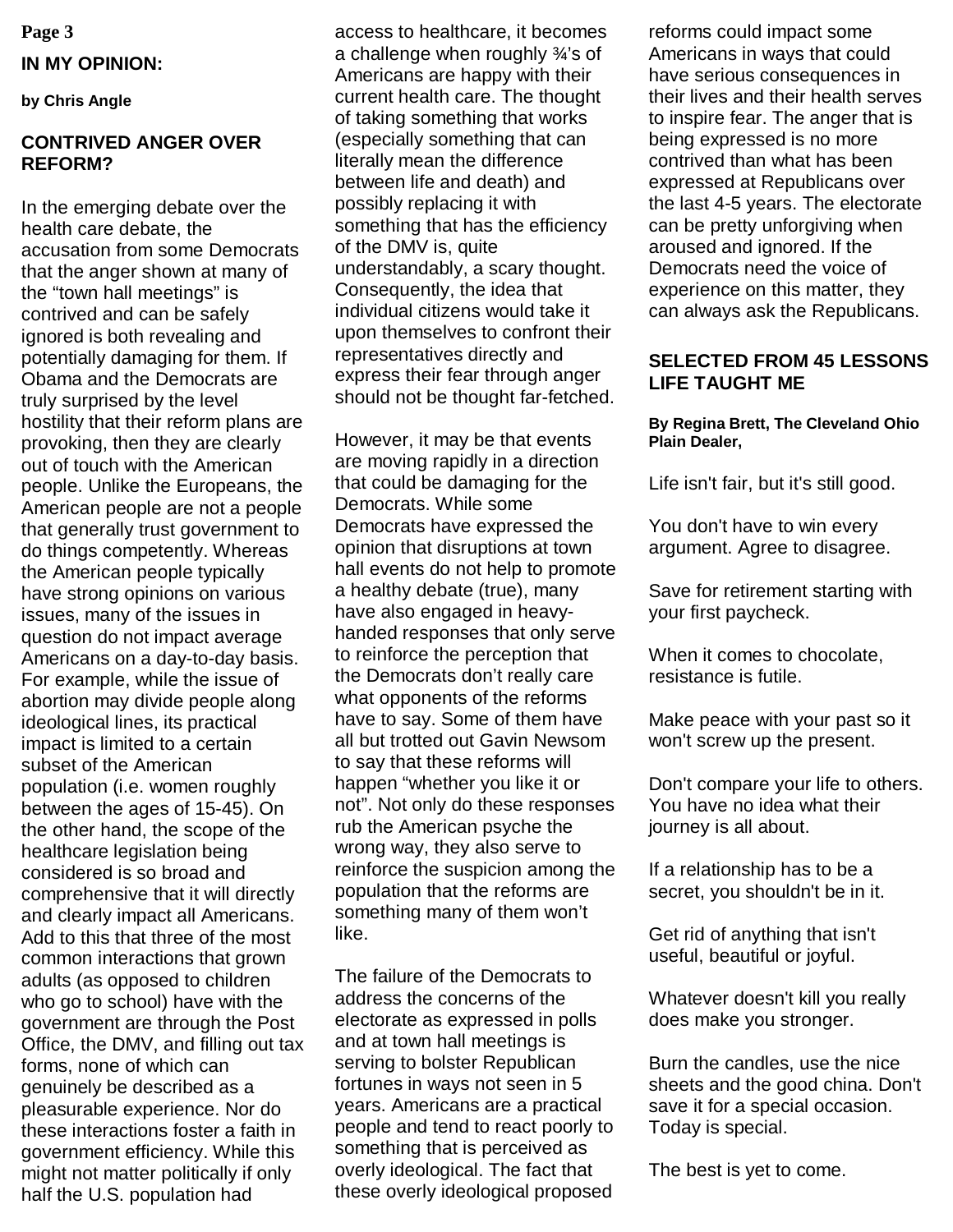**Page 3**

#### **IN MY OPINION:**

**by Chris Angle** 

#### **CONTRIVED ANGER OVER REFORM?**

In the emerging debate over the health care debate, the accusation from some Democrats that the anger shown at many of the "town hall meetings" is contrived and can be safely ignored is both revealing and potentially damaging for them. If Obama and the Democrats are truly surprised by the level hostility that their reform plans are provoking, then they are clearly out of touch with the American people. Unlike the Europeans, the American people are not a people that generally trust government to do things competently. Whereas the American people typically have strong opinions on various issues, many of the issues in question do not impact average Americans on a day-to-day basis. For example, while the issue of abortion may divide people along ideological lines, its practical impact is limited to a certain subset of the American population (i.e. women roughly between the ages of 15-45). On the other hand, the scope of the healthcare legislation being considered is so broad and comprehensive that it will directly and clearly impact all Americans. Add to this that three of the most common interactions that grown adults (as opposed to children who go to school) have with the government are through the Post Office, the DMV, and filling out tax forms, none of which can genuinely be described as a pleasurable experience. Nor do these interactions foster a faith in government efficiency. While this might not matter politically if only half the U.S. population had

access to healthcare, it becomes a challenge when roughly ¾'s of Americans are happy with their current health care. The thought of taking something that works (especially something that can literally mean the difference between life and death) and possibly replacing it with something that has the efficiency of the DMV is, quite understandably, a scary thought. Consequently, the idea that individual citizens would take it upon themselves to confront their representatives directly and express their fear through anger should not be thought far-fetched.

However, it may be that events are moving rapidly in a direction that could be damaging for the Democrats. While some Democrats have expressed the opinion that disruptions at town hall events do not help to promote a healthy debate (true), many have also engaged in heavyhanded responses that only serve to reinforce the perception that the Democrats don't really care what opponents of the reforms have to say. Some of them have all but trotted out Gavin Newsom to say that these reforms will happen "whether you like it or not". Not only do these responses rub the American psyche the wrong way, they also serve to reinforce the suspicion among the population that the reforms are something many of them won't like.

The failure of the Democrats to address the concerns of the electorate as expressed in polls and at town hall meetings is serving to bolster Republican fortunes in ways not seen in 5 years. Americans are a practical people and tend to react poorly to something that is perceived as overly ideological. The fact that these overly ideological proposed reforms could impact some Americans in ways that could have serious consequences in their lives and their health serves to inspire fear. The anger that is being expressed is no more contrived than what has been expressed at Republicans over the last 4-5 years. The electorate can be pretty unforgiving when aroused and ignored. If the Democrats need the voice of experience on this matter, they can always ask the Republicans.

#### **SELECTED FROM 45 LESSONS LIFE TAUGHT ME**

#### **By Regina Brett, The Cleveland Ohio Plain Dealer,**

Life isn't fair, but it's still good.

You don't have to win every argument. Agree to disagree.

Save for retirement starting with your first paycheck.

When it comes to chocolate, resistance is futile.

Make peace with your past so it won't screw up the present.

Don't compare your life to others. You have no idea what their journey is all about.

If a relationship has to be a secret, you shouldn't be in it.

Get rid of anything that isn't useful, beautiful or joyful.

Whatever doesn't kill you really does make you stronger.

Burn the candles, use the nice sheets and the good china. Don't save it for a special occasion. Today is special.

The best is yet to come.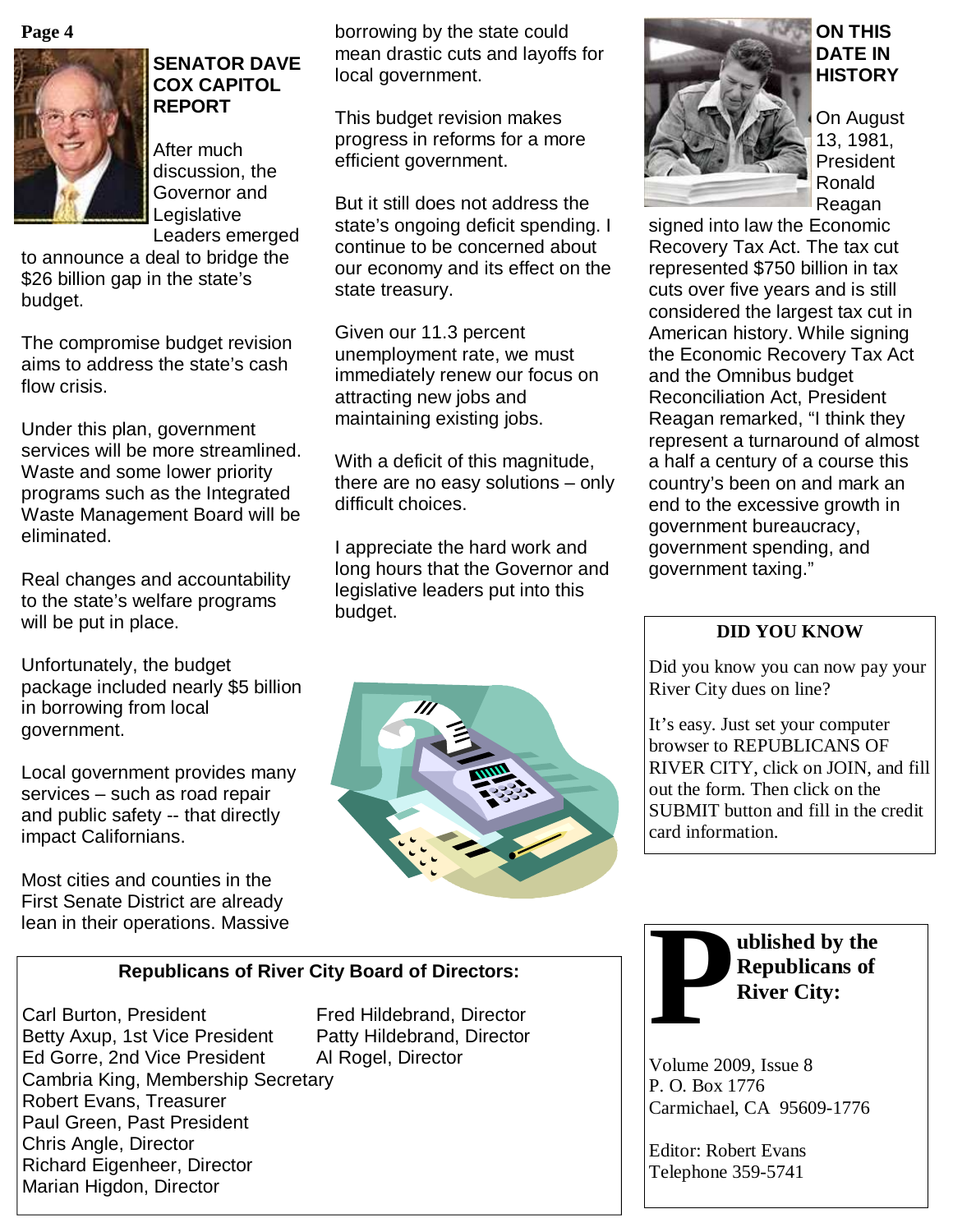



#### **SENATOR DAVE COX CAPITOL REPORT**

After much discussion, the Governor and Legislative Leaders emerged

to announce a deal to bridge the \$26 billion gap in the state's budget.

The compromise budget revision aims to address the state's cash flow crisis.

Under this plan, government services will be more streamlined. Waste and some lower priority programs such as the Integrated Waste Management Board will be eliminated.

Real changes and accountability to the state's welfare programs will be put in place.

Unfortunately, the budget package included nearly \$5 billion in borrowing from local government.

Local government provides many services – such as road repair and public safety -- that directly impact Californians.

Most cities and counties in the First Senate District are already borrowing by the state could mean drastic cuts and layoffs for local government.

This budget revision makes progress in reforms for a more efficient government.

But it still does not address the state's ongoing deficit spending. I continue to be concerned about our economy and its effect on the state treasury.

Given our 11.3 percent unemployment rate, we must immediately renew our focus on attracting new jobs and maintaining existing jobs.

With a deficit of this magnitude, there are no easy solutions – only difficult choices.

I appreciate the hard work and long hours that the Governor and legislative leaders put into this budget.





#### **ON THIS DATE IN HISTORY**

On August 13, 1981, **President** Ronald Reagan

signed into law the Economic Recovery Tax Act. The tax cut represented \$750 billion in tax cuts over five years and is still considered the largest tax cut in American history. While signing the Economic Recovery Tax Act and the Omnibus budget Reconciliation Act, President Reagan remarked, "I think they represent a turnaround of almost a half a century of a course this country's been on and mark an end to the excessive growth in government bureaucracy, government spending, and government taxing."

# **DID YOU KNOW**

Did you know you can now pay your River City dues on line?

It's easy. Just set your computer browser to REPUBLICANS OF RIVER CITY, click on JOIN, and fill out the form. Then click on the SUBMIT button and fill in the credit card information.

#### **Republicans of River City Board of Directors:**

Carl Burton, President Fred Hildebrand, Director Betty Axup, 1st Vice President Patty Hildebrand, Director Ed Gorre, 2nd Vice President Al Rogel, Director Cambria King, Membership Secretary Robert Evans, Treasurer Paul Green, Past President Chris Angle, Director Richard Eigenheer, Director Marian Higdon, Director



Volume 2009, Issue 8 P. O. Box 1776 Carmichael, CA 95609-1776

Editor: Robert Evans Telephone 359-5741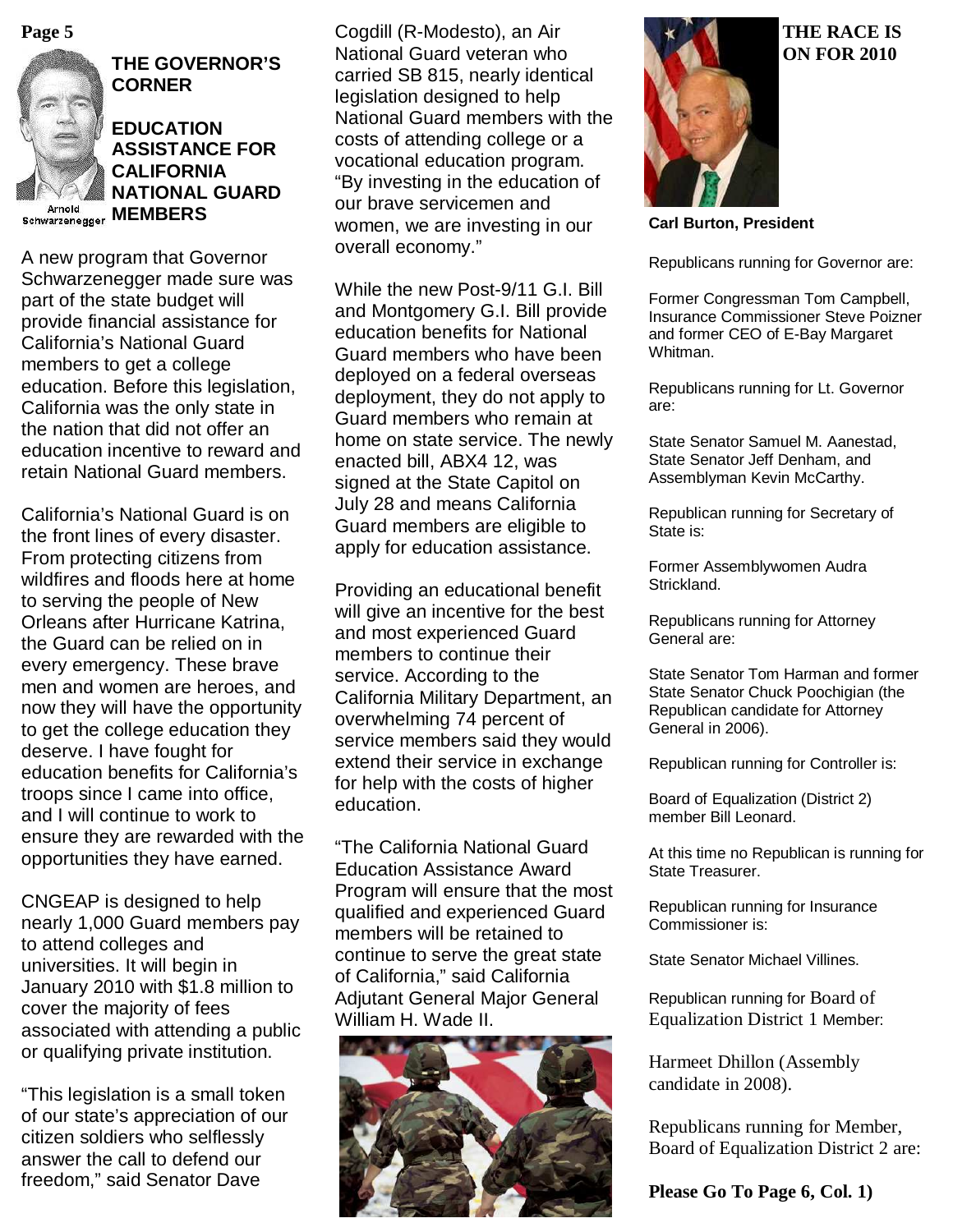



### **THE GOVERNOR'S CORNER**

**EDUCATION ASSISTANCE FOR CALIFORNIA NATIONAL GUARD Schwarzenegger MEMBERS** 

A new program that Governor Schwarzenegger made sure was part of the state budget will provide financial assistance for California's National Guard members to get a college education. Before this legislation, California was the only state in the nation that did not offer an education incentive to reward and retain National Guard members.

California's National Guard is on the front lines of every disaster. From protecting citizens from wildfires and floods here at home to serving the people of New Orleans after Hurricane Katrina, the Guard can be relied on in every emergency. These brave men and women are heroes, and now they will have the opportunity to get the college education they deserve. I have fought for education benefits for California's troops since I came into office, and I will continue to work to ensure they are rewarded with the opportunities they have earned.

CNGEAP is designed to help nearly 1,000 Guard members pay to attend colleges and universities. It will begin in January 2010 with \$1.8 million to cover the majority of fees associated with attending a public or qualifying private institution.

"This legislation is a small token of our state's appreciation of our citizen soldiers who selflessly answer the call to defend our freedom," said Senator Dave

**Page 5 THE RACE IS** Cogdill (R-Modesto), an Air **THE RACE IS** National Guard veteran who carried SB 815, nearly identical legislation designed to help National Guard members with the costs of attending college or a vocational education program. "By investing in the education of our brave servicemen and women, we are investing in our overall economy."

> While the new Post-9/11 G.I. Bill and Montgomery G.I. Bill provide education benefits for National Guard members who have been deployed on a federal overseas deployment, they do not apply to Guard members who remain at home on state service. The newly enacted bill, ABX4 12, was signed at the State Capitol on July 28 and means California Guard members are eligible to apply for education assistance.

> Providing an educational benefit will give an incentive for the best and most experienced Guard members to continue their service. According to the California Military Department, an overwhelming 74 percent of service members said they would extend their service in exchange for help with the costs of higher education.

> "The California National Guard Education Assistance Award Program will ensure that the most qualified and experienced Guard members will be retained to continue to serve the great state of California," said California Adjutant General Major General William H. Wade II.





**Carl Burton, President** 

Republicans running for Governor are:

Former Congressman Tom Campbell, Insurance Commissioner Steve Poizner and former CEO of E-Bay Margaret Whitman.

Republicans running for Lt. Governor are:

State Senator Samuel M. Aanestad, State Senator Jeff Denham, and Assemblyman Kevin McCarthy.

Republican running for Secretary of State is:

Former Assemblywomen Audra Strickland.

Republicans running for Attorney General are:

State Senator Tom Harman and former State Senator Chuck Poochigian (the Republican candidate for Attorney General in 2006).

Republican running for Controller is:

Board of Equalization (District 2) member Bill Leonard.

At this time no Republican is running for State Treasurer.

Republican running for Insurance Commissioner is:

State Senator Michael Villines.

Republican running for Board of Equalization District 1 Member:

Harmeet Dhillon (Assembly candidate in 2008).

Republicans running for Member, Board of Equalization District 2 are:

**Please Go To Page 6, Col. 1)** 

# **ON FOR 2010**